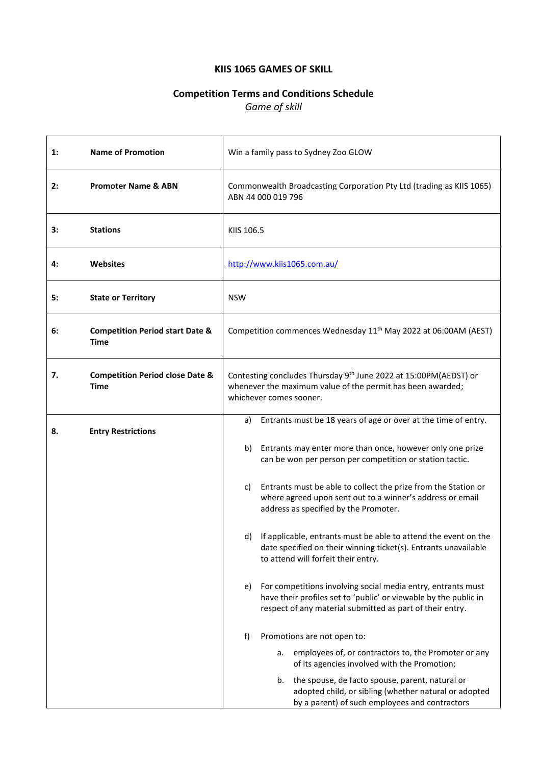## **KIIS 1065 GAMES OF SKILL**

# **Competition Terms and Conditions Schedule** *Game of skill*

| 1: | <b>Name of Promotion</b>                           | Win a family pass to Sydney Zoo GLOW                                                                                                                                                                |  |  |
|----|----------------------------------------------------|-----------------------------------------------------------------------------------------------------------------------------------------------------------------------------------------------------|--|--|
| 2: | <b>Promoter Name &amp; ABN</b>                     | Commonwealth Broadcasting Corporation Pty Ltd (trading as KIIS 1065)<br>ABN 44 000 019 796                                                                                                          |  |  |
| 3: | <b>Stations</b>                                    | KIIS 106.5                                                                                                                                                                                          |  |  |
| 4: | <b>Websites</b>                                    | http://www.kiis1065.com.au/                                                                                                                                                                         |  |  |
| 5: | <b>State or Territory</b>                          | <b>NSW</b>                                                                                                                                                                                          |  |  |
| 6: | <b>Competition Period start Date &amp;</b><br>Time | Competition commences Wednesday 11 <sup>th</sup> May 2022 at 06:00AM (AEST)                                                                                                                         |  |  |
| 7. | <b>Competition Period close Date &amp;</b><br>Time | Contesting concludes Thursday 9 <sup>th</sup> June 2022 at 15:00PM(AEDST) or<br>whenever the maximum value of the permit has been awarded;<br>whichever comes sooner.                               |  |  |
| 8. | <b>Entry Restrictions</b>                          | Entrants must be 18 years of age or over at the time of entry.<br>a)                                                                                                                                |  |  |
|    |                                                    | Entrants may enter more than once, however only one prize<br>b)<br>can be won per person per competition or station tactic.                                                                         |  |  |
|    |                                                    | Entrants must be able to collect the prize from the Station or<br>C)<br>where agreed upon sent out to a winner's address or email<br>address as specified by the Promoter.                          |  |  |
|    |                                                    | If applicable, entrants must be able to attend the event on the<br>d)<br>date specified on their winning ticket(s). Entrants unavailable<br>to attend will forfeit their entry.                     |  |  |
|    |                                                    | For competitions involving social media entry, entrants must<br>e)<br>have their profiles set to 'public' or viewable by the public in<br>respect of any material submitted as part of their entry. |  |  |
|    |                                                    | f)<br>Promotions are not open to:                                                                                                                                                                   |  |  |
|    |                                                    | employees of, or contractors to, the Promoter or any<br>а.<br>of its agencies involved with the Promotion;                                                                                          |  |  |
|    |                                                    | the spouse, de facto spouse, parent, natural or<br>b.<br>adopted child, or sibling (whether natural or adopted<br>by a parent) of such employees and contractors                                    |  |  |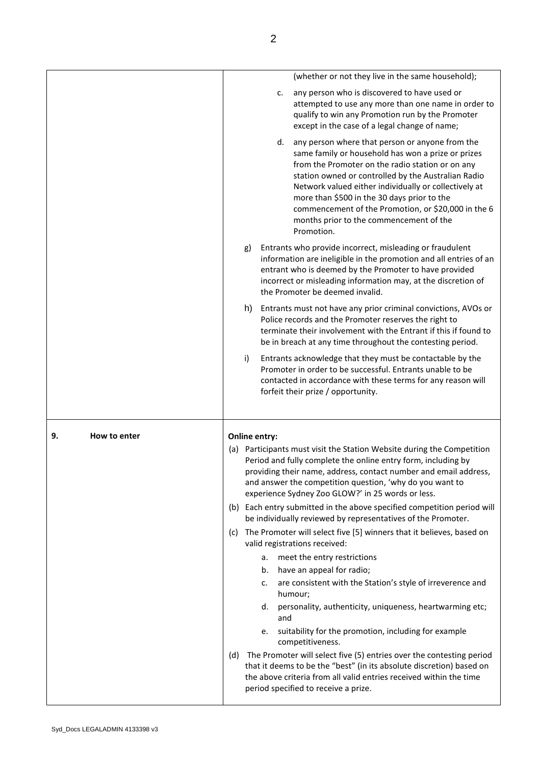|    |              |     |                      | (whether or not they live in the same household);                                                                                                                                                                                                                                                                                                                                                                                              |
|----|--------------|-----|----------------------|------------------------------------------------------------------------------------------------------------------------------------------------------------------------------------------------------------------------------------------------------------------------------------------------------------------------------------------------------------------------------------------------------------------------------------------------|
|    |              |     |                      | any person who is discovered to have used or<br>c.<br>attempted to use any more than one name in order to<br>qualify to win any Promotion run by the Promoter<br>except in the case of a legal change of name;                                                                                                                                                                                                                                 |
|    |              |     |                      | d.<br>any person where that person or anyone from the<br>same family or household has won a prize or prizes<br>from the Promoter on the radio station or on any<br>station owned or controlled by the Australian Radio<br>Network valued either individually or collectively at<br>more than \$500 in the 30 days prior to the<br>commencement of the Promotion, or \$20,000 in the 6<br>months prior to the commencement of the<br>Promotion. |
|    |              | g)  |                      | Entrants who provide incorrect, misleading or fraudulent<br>information are ineligible in the promotion and all entries of an<br>entrant who is deemed by the Promoter to have provided<br>incorrect or misleading information may, at the discretion of<br>the Promoter be deemed invalid.                                                                                                                                                    |
|    |              | h)  |                      | Entrants must not have any prior criminal convictions, AVOs or<br>Police records and the Promoter reserves the right to<br>terminate their involvement with the Entrant if this if found to<br>be in breach at any time throughout the contesting period.                                                                                                                                                                                      |
|    |              | i)  |                      | Entrants acknowledge that they must be contactable by the<br>Promoter in order to be successful. Entrants unable to be<br>contacted in accordance with these terms for any reason will<br>forfeit their prize / opportunity.                                                                                                                                                                                                                   |
| 9. | How to enter |     | <b>Online entry:</b> |                                                                                                                                                                                                                                                                                                                                                                                                                                                |
|    |              |     |                      | (a) Participants must visit the Station Website during the Competition<br>Period and fully complete the online entry form, including by<br>providing their name, address, contact number and email address,<br>and answer the competition question, 'why do you want to<br>experience Sydney Zoo GLOW?' in 25 words or less.                                                                                                                   |
|    |              |     |                      | (b) Each entry submitted in the above specified competition period will<br>be individually reviewed by representatives of the Promoter.                                                                                                                                                                                                                                                                                                        |
|    |              | (c) |                      | The Promoter will select five [5] winners that it believes, based on<br>valid registrations received:                                                                                                                                                                                                                                                                                                                                          |
|    |              |     | а.<br>b.             | meet the entry restrictions<br>have an appeal for radio;                                                                                                                                                                                                                                                                                                                                                                                       |
|    |              |     | c.                   | are consistent with the Station's style of irreverence and<br>humour;                                                                                                                                                                                                                                                                                                                                                                          |
|    |              |     | d.                   | personality, authenticity, uniqueness, heartwarming etc;<br>and                                                                                                                                                                                                                                                                                                                                                                                |
|    |              |     | e.                   | suitability for the promotion, including for example                                                                                                                                                                                                                                                                                                                                                                                           |
|    |              |     |                      | competitiveness.                                                                                                                                                                                                                                                                                                                                                                                                                               |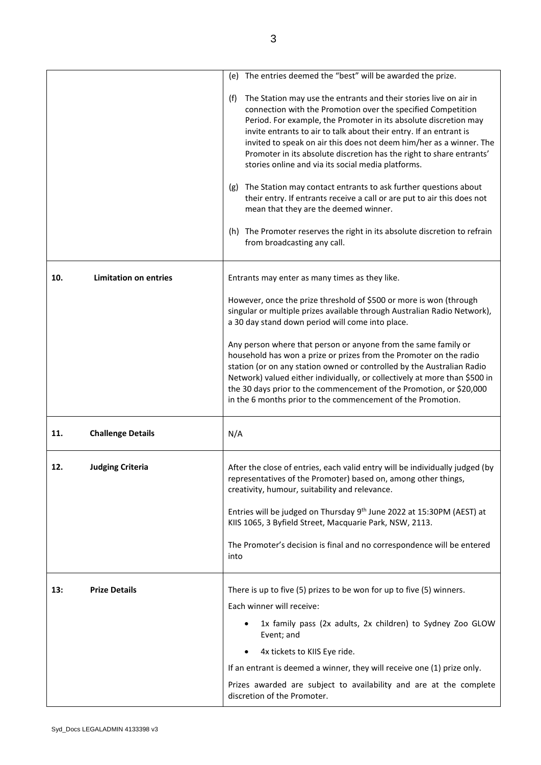|     |                              | (e) The entries deemed the "best" will be awarded the prize.                                                                                                                                                                                                                                                                                                                                                                                                                                                                                                                                                                                                                                                                                                                                      |
|-----|------------------------------|---------------------------------------------------------------------------------------------------------------------------------------------------------------------------------------------------------------------------------------------------------------------------------------------------------------------------------------------------------------------------------------------------------------------------------------------------------------------------------------------------------------------------------------------------------------------------------------------------------------------------------------------------------------------------------------------------------------------------------------------------------------------------------------------------|
|     |                              | The Station may use the entrants and their stories live on air in<br>(f)<br>connection with the Promotion over the specified Competition<br>Period. For example, the Promoter in its absolute discretion may<br>invite entrants to air to talk about their entry. If an entrant is<br>invited to speak on air this does not deem him/her as a winner. The<br>Promoter in its absolute discretion has the right to share entrants'<br>stories online and via its social media platforms.<br>The Station may contact entrants to ask further questions about<br>(g)<br>their entry. If entrants receive a call or are put to air this does not<br>mean that they are the deemed winner.<br>(h) The Promoter reserves the right in its absolute discretion to refrain<br>from broadcasting any call. |
|     |                              |                                                                                                                                                                                                                                                                                                                                                                                                                                                                                                                                                                                                                                                                                                                                                                                                   |
| 10. | <b>Limitation on entries</b> | Entrants may enter as many times as they like.                                                                                                                                                                                                                                                                                                                                                                                                                                                                                                                                                                                                                                                                                                                                                    |
|     |                              | However, once the prize threshold of \$500 or more is won (through<br>singular or multiple prizes available through Australian Radio Network),<br>a 30 day stand down period will come into place.                                                                                                                                                                                                                                                                                                                                                                                                                                                                                                                                                                                                |
|     |                              | Any person where that person or anyone from the same family or<br>household has won a prize or prizes from the Promoter on the radio<br>station (or on any station owned or controlled by the Australian Radio<br>Network) valued either individually, or collectively at more than \$500 in<br>the 30 days prior to the commencement of the Promotion, or \$20,000<br>in the 6 months prior to the commencement of the Promotion.                                                                                                                                                                                                                                                                                                                                                                |
| 11. | <b>Challenge Details</b>     | N/A                                                                                                                                                                                                                                                                                                                                                                                                                                                                                                                                                                                                                                                                                                                                                                                               |
| 12. | <b>Judging Criteria</b>      | After the close of entries, each valid entry will be individually judged (by<br>representatives of the Promoter) based on, among other things,<br>creativity, humour, suitability and relevance.                                                                                                                                                                                                                                                                                                                                                                                                                                                                                                                                                                                                  |
|     |                              | Entries will be judged on Thursday 9 <sup>th</sup> June 2022 at 15:30PM (AEST) at<br>KIIS 1065, 3 Byfield Street, Macquarie Park, NSW, 2113.                                                                                                                                                                                                                                                                                                                                                                                                                                                                                                                                                                                                                                                      |
|     |                              | The Promoter's decision is final and no correspondence will be entered<br>into                                                                                                                                                                                                                                                                                                                                                                                                                                                                                                                                                                                                                                                                                                                    |
| 13: | <b>Prize Details</b>         | There is up to five (5) prizes to be won for up to five (5) winners.                                                                                                                                                                                                                                                                                                                                                                                                                                                                                                                                                                                                                                                                                                                              |
|     |                              | Each winner will receive:                                                                                                                                                                                                                                                                                                                                                                                                                                                                                                                                                                                                                                                                                                                                                                         |
|     |                              | 1x family pass (2x adults, 2x children) to Sydney Zoo GLOW<br>Event; and                                                                                                                                                                                                                                                                                                                                                                                                                                                                                                                                                                                                                                                                                                                          |
|     |                              | 4x tickets to KIIS Eye ride.                                                                                                                                                                                                                                                                                                                                                                                                                                                                                                                                                                                                                                                                                                                                                                      |
|     |                              | If an entrant is deemed a winner, they will receive one (1) prize only.                                                                                                                                                                                                                                                                                                                                                                                                                                                                                                                                                                                                                                                                                                                           |
|     |                              | Prizes awarded are subject to availability and are at the complete<br>discretion of the Promoter.                                                                                                                                                                                                                                                                                                                                                                                                                                                                                                                                                                                                                                                                                                 |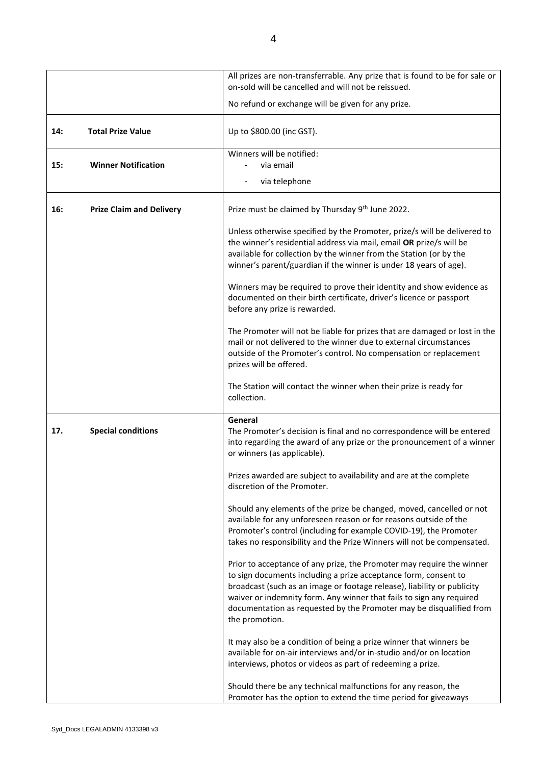|     |                                 | All prizes are non-transferrable. Any prize that is found to be for sale or<br>on-sold will be cancelled and will not be reissued.                                                                                                                                                                                                                                                   |
|-----|---------------------------------|--------------------------------------------------------------------------------------------------------------------------------------------------------------------------------------------------------------------------------------------------------------------------------------------------------------------------------------------------------------------------------------|
|     |                                 | No refund or exchange will be given for any prize.                                                                                                                                                                                                                                                                                                                                   |
| 14: | <b>Total Prize Value</b>        | Up to \$800.00 (inc GST).                                                                                                                                                                                                                                                                                                                                                            |
| 15: | <b>Winner Notification</b>      | Winners will be notified:<br>via email                                                                                                                                                                                                                                                                                                                                               |
|     |                                 | via telephone<br>$\blacksquare$                                                                                                                                                                                                                                                                                                                                                      |
| 16: | <b>Prize Claim and Delivery</b> | Prize must be claimed by Thursday 9th June 2022.                                                                                                                                                                                                                                                                                                                                     |
|     |                                 | Unless otherwise specified by the Promoter, prize/s will be delivered to<br>the winner's residential address via mail, email OR prize/s will be<br>available for collection by the winner from the Station (or by the<br>winner's parent/guardian if the winner is under 18 years of age).                                                                                           |
|     |                                 | Winners may be required to prove their identity and show evidence as<br>documented on their birth certificate, driver's licence or passport<br>before any prize is rewarded.                                                                                                                                                                                                         |
|     |                                 | The Promoter will not be liable for prizes that are damaged or lost in the<br>mail or not delivered to the winner due to external circumstances<br>outside of the Promoter's control. No compensation or replacement<br>prizes will be offered.                                                                                                                                      |
|     |                                 | The Station will contact the winner when their prize is ready for<br>collection.                                                                                                                                                                                                                                                                                                     |
| 17. | <b>Special conditions</b>       | General<br>The Promoter's decision is final and no correspondence will be entered<br>into regarding the award of any prize or the pronouncement of a winner<br>or winners (as applicable).                                                                                                                                                                                           |
|     |                                 | Prizes awarded are subject to availability and are at the complete<br>discretion of the Promoter.                                                                                                                                                                                                                                                                                    |
|     |                                 | Should any elements of the prize be changed, moved, cancelled or not<br>available for any unforeseen reason or for reasons outside of the<br>Promoter's control (including for example COVID-19), the Promoter<br>takes no responsibility and the Prize Winners will not be compensated.                                                                                             |
|     |                                 | Prior to acceptance of any prize, the Promoter may require the winner<br>to sign documents including a prize acceptance form, consent to<br>broadcast (such as an image or footage release), liability or publicity<br>waiver or indemnity form. Any winner that fails to sign any required<br>documentation as requested by the Promoter may be disqualified from<br>the promotion. |
|     |                                 | It may also be a condition of being a prize winner that winners be<br>available for on-air interviews and/or in-studio and/or on location<br>interviews, photos or videos as part of redeeming a prize.                                                                                                                                                                              |
|     |                                 | Should there be any technical malfunctions for any reason, the<br>Promoter has the option to extend the time period for giveaways                                                                                                                                                                                                                                                    |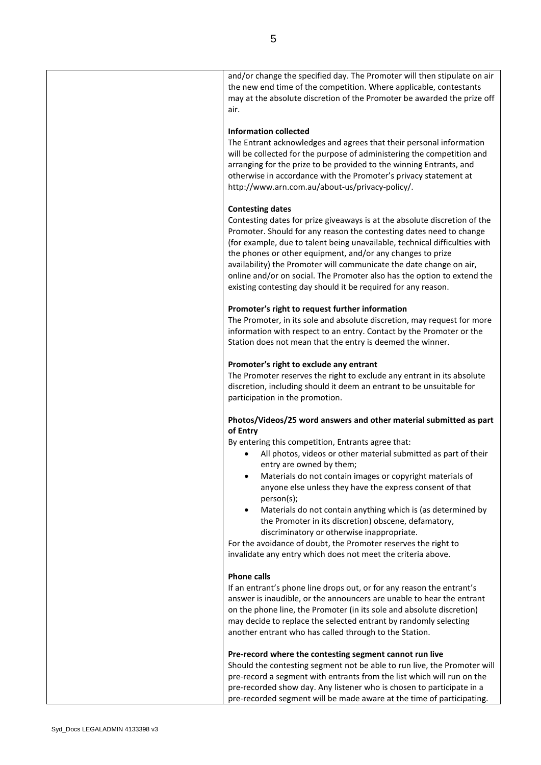and/or change the specified day. The Promoter will then stipulate on air the new end time of the competition. Where applicable, contestants may at the absolute discretion of the Promoter be awarded the prize off air. **Information collected** The Entrant acknowledges and agrees that their personal information will be collected for the purpose of administering the competition and arranging for the prize to be provided to the winning Entrants, and otherwise in accordance with the Promoter's privacy statement at [http://www.arn.com.au/about-us/privacy-policy/.](http://www.arn.com.au/about-us/privacy-policy/) **Contesting dates** Contesting dates for prize giveaways is at the absolute discretion of the Promoter. Should for any reason the contesting dates need to change (for example, due to talent being unavailable, technical difficulties with the phones or other equipment, and/or any changes to prize availability) the Promoter will communicate the date change on air, online and/or on social. The Promoter also has the option to extend the existing contesting day should it be required for any reason. **Promoter's right to request further information** The Promoter, in its sole and absolute discretion, may request for more information with respect to an entry. Contact by the Promoter or the Station does not mean that the entry is deemed the winner. **Promoter's right to exclude any entrant** The Promoter reserves the right to exclude any entrant in its absolute discretion, including should it deem an entrant to be unsuitable for participation in the promotion. **Photos/Videos/25 word answers and other material submitted as part of Entry**  By entering this competition, Entrants agree that: All photos, videos or other material submitted as part of their entry are owned by them; • Materials do not contain images or copyright materials of anyone else unless they have the express consent of that person(s); • Materials do not contain anything which is (as determined by the Promoter in its discretion) obscene, defamatory, discriminatory or otherwise inappropriate. For the avoidance of doubt, the Promoter reserves the right to invalidate any entry which does not meet the criteria above. **Phone calls** If an entrant's phone line drops out, or for any reason the entrant's answer is inaudible, or the announcers are unable to hear the entrant on the phone line, the Promoter (in its sole and absolute discretion) may decide to replace the selected entrant by randomly selecting another entrant who has called through to the Station. **Pre-record where the contesting segment cannot run live** Should the contesting segment not be able to run live, the Promoter will pre-record a segment with entrants from the list which will run on the pre-recorded show day. Any listener who is chosen to participate in a

pre-recorded segment will be made aware at the time of participating.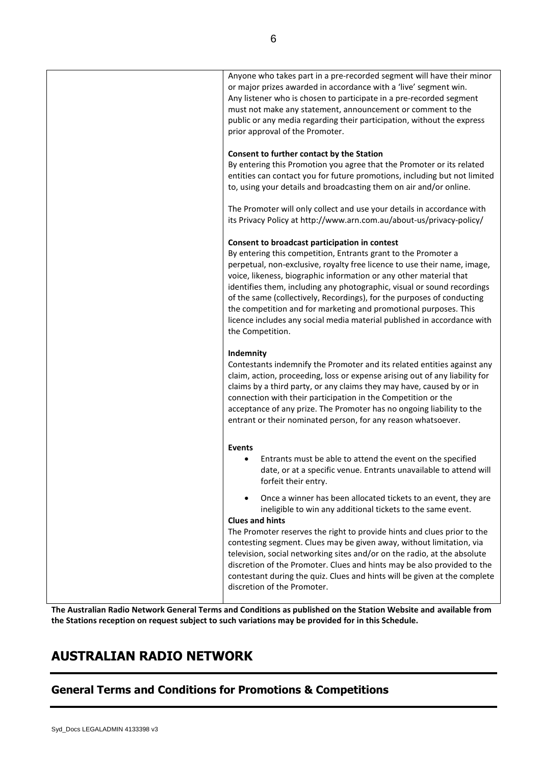| Anyone who takes part in a pre-recorded segment will have their minor<br>or major prizes awarded in accordance with a 'live' segment win.<br>Any listener who is chosen to participate in a pre-recorded segment<br>must not make any statement, announcement or comment to the<br>public or any media regarding their participation, without the express<br>prior approval of the Promoter.                                                                                                                                                                                               |
|--------------------------------------------------------------------------------------------------------------------------------------------------------------------------------------------------------------------------------------------------------------------------------------------------------------------------------------------------------------------------------------------------------------------------------------------------------------------------------------------------------------------------------------------------------------------------------------------|
| Consent to further contact by the Station<br>By entering this Promotion you agree that the Promoter or its related<br>entities can contact you for future promotions, including but not limited<br>to, using your details and broadcasting them on air and/or online.                                                                                                                                                                                                                                                                                                                      |
| The Promoter will only collect and use your details in accordance with<br>its Privacy Policy at http://www.arn.com.au/about-us/privacy-policy/                                                                                                                                                                                                                                                                                                                                                                                                                                             |
| Consent to broadcast participation in contest<br>By entering this competition, Entrants grant to the Promoter a<br>perpetual, non-exclusive, royalty free licence to use their name, image,<br>voice, likeness, biographic information or any other material that<br>identifies them, including any photographic, visual or sound recordings<br>of the same (collectively, Recordings), for the purposes of conducting<br>the competition and for marketing and promotional purposes. This<br>licence includes any social media material published in accordance with<br>the Competition.  |
| Indemnity<br>Contestants indemnify the Promoter and its related entities against any<br>claim, action, proceeding, loss or expense arising out of any liability for<br>claims by a third party, or any claims they may have, caused by or in<br>connection with their participation in the Competition or the<br>acceptance of any prize. The Promoter has no ongoing liability to the<br>entrant or their nominated person, for any reason whatsoever.                                                                                                                                    |
| <b>Events</b><br>Entrants must be able to attend the event on the specified<br>٠<br>date, or at a specific venue. Entrants unavailable to attend will<br>forfeit their entry.                                                                                                                                                                                                                                                                                                                                                                                                              |
| Once a winner has been allocated tickets to an event, they are<br>$\bullet$<br>ineligible to win any additional tickets to the same event.<br><b>Clues and hints</b><br>The Promoter reserves the right to provide hints and clues prior to the<br>contesting segment. Clues may be given away, without limitation, via<br>television, social networking sites and/or on the radio, at the absolute<br>discretion of the Promoter. Clues and hints may be also provided to the<br>contestant during the quiz. Clues and hints will be given at the complete<br>discretion of the Promoter. |

**The Australian Radio Network General Terms and Conditions as published on the Station Website and available from the Stations reception on request subject to such variations may be provided for in this Schedule.**

# **AUSTRALIAN RADIO NETWORK**

# **General Terms and Conditions for Promotions & Competitions**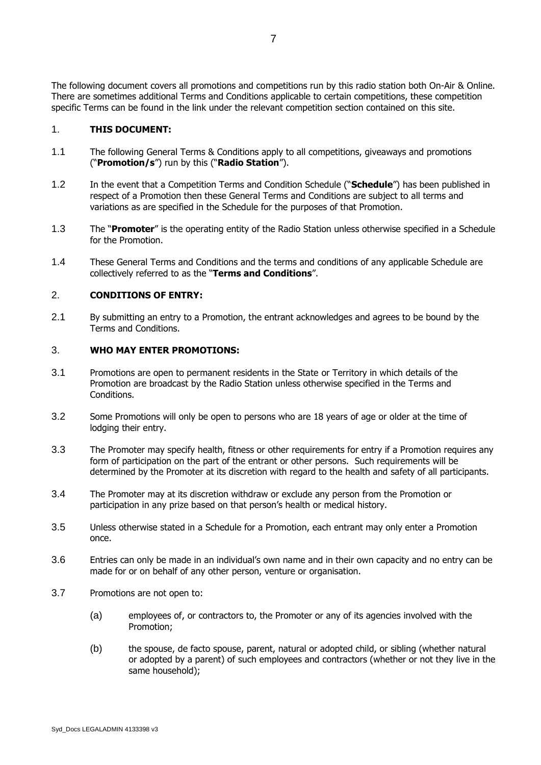The following document covers all promotions and competitions run by this radio station both On-Air & Online. There are sometimes additional Terms and Conditions applicable to certain competitions, these competition specific Terms can be found in the link under the relevant competition section contained on this site.

#### 1. **THIS DOCUMENT:**

- 1.1 The following General Terms & Conditions apply to all competitions, giveaways and promotions ("**Promotion/s**") run by this ("**Radio Station**").
- 1.2 In the event that a Competition Terms and Condition Schedule ("**Schedule**") has been published in respect of a Promotion then these General Terms and Conditions are subject to all terms and variations as are specified in the Schedule for the purposes of that Promotion.
- 1.3 The "**Promoter**" is the operating entity of the Radio Station unless otherwise specified in a Schedule for the Promotion.
- 1.4 These General Terms and Conditions and the terms and conditions of any applicable Schedule are collectively referred to as the "**Terms and Conditions**".

#### 2. **CONDITIONS OF ENTRY:**

2.1 By submitting an entry to a Promotion, the entrant acknowledges and agrees to be bound by the Terms and Conditions.

#### 3. **WHO MAY ENTER PROMOTIONS:**

- 3.1 Promotions are open to permanent residents in the State or Territory in which details of the Promotion are broadcast by the Radio Station unless otherwise specified in the Terms and Conditions.
- 3.2 Some Promotions will only be open to persons who are 18 years of age or older at the time of lodging their entry.
- 3.3 The Promoter may specify health, fitness or other requirements for entry if a Promotion requires any form of participation on the part of the entrant or other persons. Such requirements will be determined by the Promoter at its discretion with regard to the health and safety of all participants.
- 3.4 The Promoter may at its discretion withdraw or exclude any person from the Promotion or participation in any prize based on that person's health or medical history.
- 3.5 Unless otherwise stated in a Schedule for a Promotion, each entrant may only enter a Promotion once.
- 3.6 Entries can only be made in an individual's own name and in their own capacity and no entry can be made for or on behalf of any other person, venture or organisation.
- 3.7 Promotions are not open to:
	- (a) employees of, or contractors to, the Promoter or any of its agencies involved with the Promotion;
	- (b) the spouse, de facto spouse, parent, natural or adopted child, or sibling (whether natural or adopted by a parent) of such employees and contractors (whether or not they live in the same household);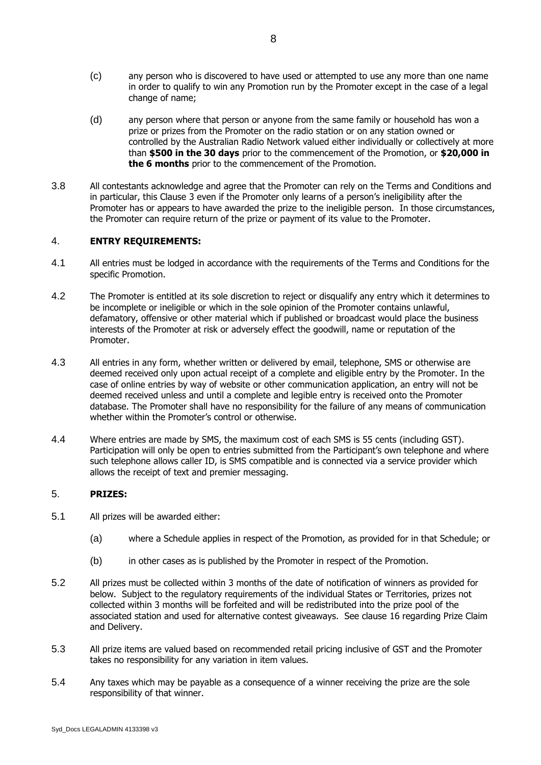- (c) any person who is discovered to have used or attempted to use any more than one name in order to qualify to win any Promotion run by the Promoter except in the case of a legal change of name;
- (d) any person where that person or anyone from the same family or household has won a prize or prizes from the Promoter on the radio station or on any station owned or controlled by the Australian Radio Network valued either individually or collectively at more than **\$500 in the 30 days** prior to the commencement of the Promotion, or **\$20,000 in the 6 months** prior to the commencement of the Promotion.
- 3.8 All contestants acknowledge and agree that the Promoter can rely on the Terms and Conditions and in particular, this Clause 3 even if the Promoter only learns of a person's ineligibility after the Promoter has or appears to have awarded the prize to the ineligible person. In those circumstances, the Promoter can require return of the prize or payment of its value to the Promoter.

#### 4. **ENTRY REQUIREMENTS:**

- 4.1 All entries must be lodged in accordance with the requirements of the Terms and Conditions for the specific Promotion.
- 4.2 The Promoter is entitled at its sole discretion to reject or disqualify any entry which it determines to be incomplete or ineligible or which in the sole opinion of the Promoter contains unlawful, defamatory, offensive or other material which if published or broadcast would place the business interests of the Promoter at risk or adversely effect the goodwill, name or reputation of the Promoter.
- 4.3 All entries in any form, whether written or delivered by email, telephone, SMS or otherwise are deemed received only upon actual receipt of a complete and eligible entry by the Promoter. In the case of online entries by way of website or other communication application, an entry will not be deemed received unless and until a complete and legible entry is received onto the Promoter database. The Promoter shall have no responsibility for the failure of any means of communication whether within the Promoter's control or otherwise.
- 4.4 Where entries are made by SMS, the maximum cost of each SMS is 55 cents (including GST). Participation will only be open to entries submitted from the Participant's own telephone and where such telephone allows caller ID, is SMS compatible and is connected via a service provider which allows the receipt of text and premier messaging.

### 5. **PRIZES:**

- 5.1 All prizes will be awarded either:
	- (a) where a Schedule applies in respect of the Promotion, as provided for in that Schedule; or
	- (b) in other cases as is published by the Promoter in respect of the Promotion.
- 5.2 All prizes must be collected within 3 months of the date of notification of winners as provided for below. Subject to the regulatory requirements of the individual States or Territories, prizes not collected within 3 months will be forfeited and will be redistributed into the prize pool of the associated station and used for alternative contest giveaways. See clause 16 regarding Prize Claim and Delivery.
- 5.3 All prize items are valued based on recommended retail pricing inclusive of GST and the Promoter takes no responsibility for any variation in item values.
- 5.4 Any taxes which may be payable as a consequence of a winner receiving the prize are the sole responsibility of that winner.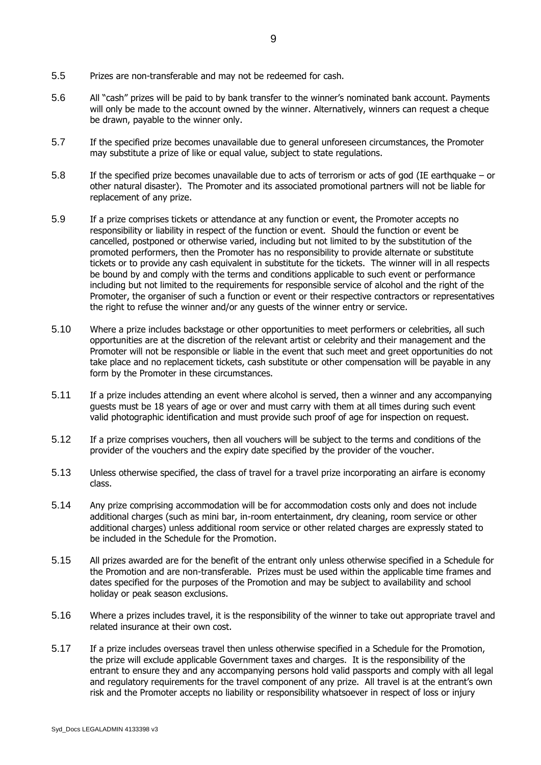- 5.5 Prizes are non-transferable and may not be redeemed for cash.
- 5.6 All "cash" prizes will be paid to by bank transfer to the winner's nominated bank account. Payments will only be made to the account owned by the winner. Alternatively, winners can request a cheque be drawn, payable to the winner only.
- 5.7 If the specified prize becomes unavailable due to general unforeseen circumstances, the Promoter may substitute a prize of like or equal value, subject to state regulations.
- 5.8 If the specified prize becomes unavailable due to acts of terrorism or acts of god (IE earthquake or other natural disaster). The Promoter and its associated promotional partners will not be liable for replacement of any prize.
- 5.9 If a prize comprises tickets or attendance at any function or event, the Promoter accepts no responsibility or liability in respect of the function or event. Should the function or event be cancelled, postponed or otherwise varied, including but not limited to by the substitution of the promoted performers, then the Promoter has no responsibility to provide alternate or substitute tickets or to provide any cash equivalent in substitute for the tickets. The winner will in all respects be bound by and comply with the terms and conditions applicable to such event or performance including but not limited to the requirements for responsible service of alcohol and the right of the Promoter, the organiser of such a function or event or their respective contractors or representatives the right to refuse the winner and/or any guests of the winner entry or service.
- 5.10 Where a prize includes backstage or other opportunities to meet performers or celebrities, all such opportunities are at the discretion of the relevant artist or celebrity and their management and the Promoter will not be responsible or liable in the event that such meet and greet opportunities do not take place and no replacement tickets, cash substitute or other compensation will be payable in any form by the Promoter in these circumstances.
- 5.11 If a prize includes attending an event where alcohol is served, then a winner and any accompanying guests must be 18 years of age or over and must carry with them at all times during such event valid photographic identification and must provide such proof of age for inspection on request.
- 5.12 If a prize comprises vouchers, then all vouchers will be subject to the terms and conditions of the provider of the vouchers and the expiry date specified by the provider of the voucher.
- 5.13 Unless otherwise specified, the class of travel for a travel prize incorporating an airfare is economy class.
- 5.14 Any prize comprising accommodation will be for accommodation costs only and does not include additional charges (such as mini bar, in-room entertainment, dry cleaning, room service or other additional charges) unless additional room service or other related charges are expressly stated to be included in the Schedule for the Promotion.
- 5.15 All prizes awarded are for the benefit of the entrant only unless otherwise specified in a Schedule for the Promotion and are non-transferable. Prizes must be used within the applicable time frames and dates specified for the purposes of the Promotion and may be subject to availability and school holiday or peak season exclusions.
- 5.16 Where a prizes includes travel, it is the responsibility of the winner to take out appropriate travel and related insurance at their own cost.
- 5.17 If a prize includes overseas travel then unless otherwise specified in a Schedule for the Promotion, the prize will exclude applicable Government taxes and charges. It is the responsibility of the entrant to ensure they and any accompanying persons hold valid passports and comply with all legal and regulatory requirements for the travel component of any prize. All travel is at the entrant's own risk and the Promoter accepts no liability or responsibility whatsoever in respect of loss or injury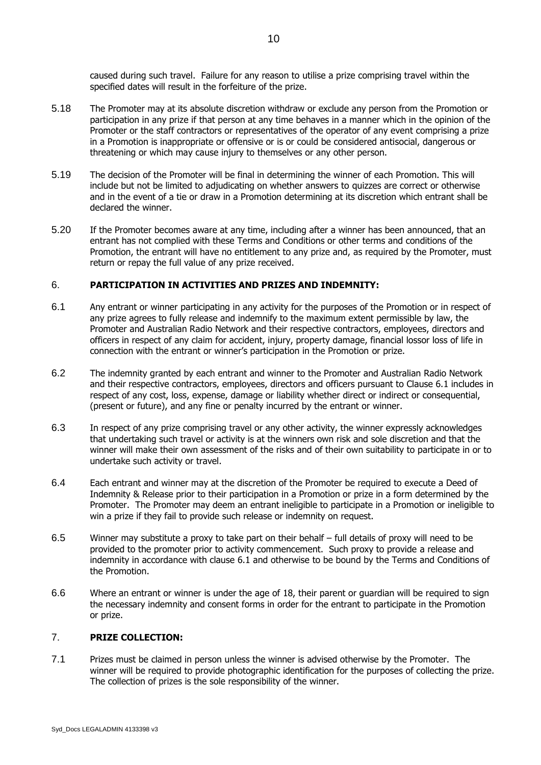caused during such travel. Failure for any reason to utilise a prize comprising travel within the specified dates will result in the forfeiture of the prize.

- 5.18 The Promoter may at its absolute discretion withdraw or exclude any person from the Promotion or participation in any prize if that person at any time behaves in a manner which in the opinion of the Promoter or the staff contractors or representatives of the operator of any event comprising a prize in a Promotion is inappropriate or offensive or is or could be considered antisocial, dangerous or threatening or which may cause injury to themselves or any other person.
- 5.19 The decision of the Promoter will be final in determining the winner of each Promotion. This will include but not be limited to adjudicating on whether answers to quizzes are correct or otherwise and in the event of a tie or draw in a Promotion determining at its discretion which entrant shall be declared the winner.
- 5.20 If the Promoter becomes aware at any time, including after a winner has been announced, that an entrant has not complied with these Terms and Conditions or other terms and conditions of the Promotion, the entrant will have no entitlement to any prize and, as required by the Promoter, must return or repay the full value of any prize received.

#### 6. **PARTICIPATION IN ACTIVITIES AND PRIZES AND INDEMNITY:**

- <span id="page-9-0"></span>6.1 Any entrant or winner participating in any activity for the purposes of the Promotion or in respect of any prize agrees to fully release and indemnify to the maximum extent permissible by law, the Promoter and Australian Radio Network and their respective contractors, employees, directors and officers in respect of any claim for accident, injury, property damage, financial lossor loss of life in connection with the entrant or winner's participation in the Promotion or prize.
- 6.2 The indemnity granted by each entrant and winner to the Promoter and Australian Radio Network and their respective contractors, employees, directors and officers pursuant to Clause 6.1 includes in respect of any cost, loss, expense, damage or liability whether direct or indirect or consequential, (present or future), and any fine or penalty incurred by the entrant or winner.
- 6.3 In respect of any prize comprising travel or any other activity, the winner expressly acknowledges that undertaking such travel or activity is at the winners own risk and sole discretion and that the winner will make their own assessment of the risks and of their own suitability to participate in or to undertake such activity or travel.
- 6.4 Each entrant and winner may at the discretion of the Promoter be required to execute a Deed of Indemnity & Release prior to their participation in a Promotion or prize in a form determined by the Promoter. The Promoter may deem an entrant ineligible to participate in a Promotion or ineligible to win a prize if they fail to provide such release or indemnity on request.
- 6.5 Winner may substitute a proxy to take part on their behalf full details of proxy will need to be provided to the promoter prior to activity commencement. Such proxy to provide a release and indemnity in accordance with clause [6.1](#page-9-0) and otherwise to be bound by the Terms and Conditions of the Promotion.
- 6.6 Where an entrant or winner is under the age of 18, their parent or guardian will be required to sign the necessary indemnity and consent forms in order for the entrant to participate in the Promotion or prize.

#### 7. **PRIZE COLLECTION:**

7.1 Prizes must be claimed in person unless the winner is advised otherwise by the Promoter. The winner will be required to provide photographic identification for the purposes of collecting the prize. The collection of prizes is the sole responsibility of the winner.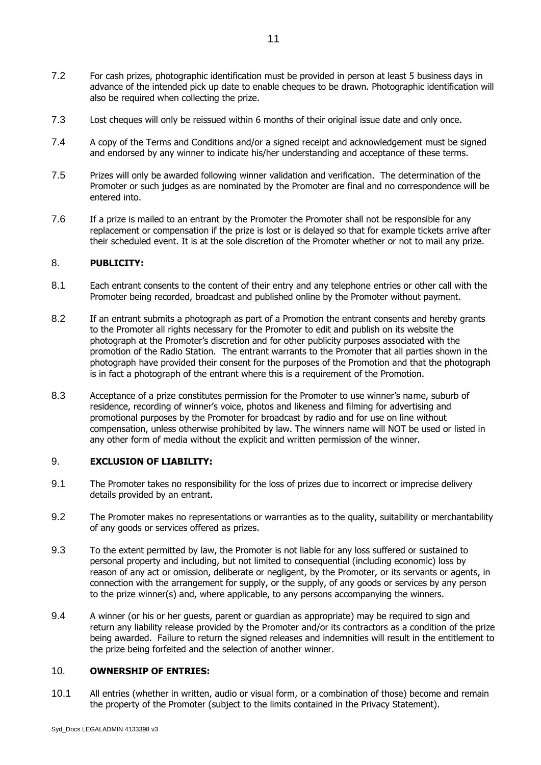- 7.2 For cash prizes, photographic identification must be provided in person at least 5 business days in advance of the intended pick up date to enable cheques to be drawn. Photographic identification will also be required when collecting the prize.
- 7.3 Lost cheques will only be reissued within 6 months of their original issue date and only once.
- 7.4 A copy of the Terms and Conditions and/or a signed receipt and acknowledgement must be signed and endorsed by any winner to indicate his/her understanding and acceptance of these terms.
- 7.5 Prizes will only be awarded following winner validation and verification. The determination of the Promoter or such judges as are nominated by the Promoter are final and no correspondence will be entered into.
- 7.6 If a prize is mailed to an entrant by the Promoter the Promoter shall not be responsible for any replacement or compensation if the prize is lost or is delayed so that for example tickets arrive after their scheduled event. It is at the sole discretion of the Promoter whether or not to mail any prize.

#### 8. **PUBLICITY:**

- 8.1 Each entrant consents to the content of their entry and any telephone entries or other call with the Promoter being recorded, broadcast and published online by the Promoter without payment.
- 8.2 If an entrant submits a photograph as part of a Promotion the entrant consents and hereby grants to the Promoter all rights necessary for the Promoter to edit and publish on its website the photograph at the Promoter's discretion and for other publicity purposes associated with the promotion of the Radio Station. The entrant warrants to the Promoter that all parties shown in the photograph have provided their consent for the purposes of the Promotion and that the photograph is in fact a photograph of the entrant where this is a requirement of the Promotion.
- 8.3 Acceptance of a prize constitutes permission for the Promoter to use winner's name, suburb of residence, recording of winner's voice, photos and likeness and filming for advertising and promotional purposes by the Promoter for broadcast by radio and for use on line without compensation, unless otherwise prohibited by law. The winners name will NOT be used or listed in any other form of media without the explicit and written permission of the winner.

#### 9. **EXCLUSION OF LIABILITY:**

- 9.1 The Promoter takes no responsibility for the loss of prizes due to incorrect or imprecise delivery details provided by an entrant.
- 9.2 The Promoter makes no representations or warranties as to the quality, suitability or merchantability of any goods or services offered as prizes.
- 9.3 To the extent permitted by law, the Promoter is not liable for any loss suffered or sustained to personal property and including, but not limited to consequential (including economic) loss by reason of any act or omission, deliberate or negligent, by the Promoter, or its servants or agents, in connection with the arrangement for supply, or the supply, of any goods or services by any person to the prize winner(s) and, where applicable, to any persons accompanying the winners.
- 9.4 A winner (or his or her guests, parent or guardian as appropriate) may be required to sign and return any liability release provided by the Promoter and/or its contractors as a condition of the prize being awarded. Failure to return the signed releases and indemnities will result in the entitlement to the prize being forfeited and the selection of another winner.

#### 10. **OWNERSHIP OF ENTRIES:**

10.1 All entries (whether in written, audio or visual form, or a combination of those) become and remain the property of the Promoter (subject to the limits contained in the Privacy Statement).